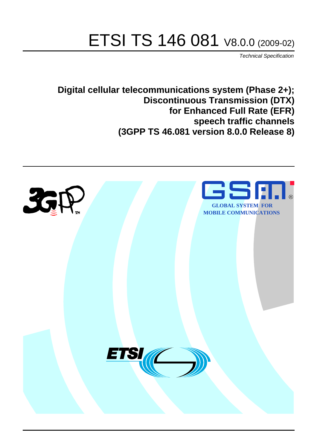# ETSI TS 146 081 V8.0.0 (2009-02)

*Technical Specification*

**Digital cellular telecommunications system (Phase 2+); Discontinuous Transmission (DTX) for Enhanced Full Rate (EFR) speech traffic channels (3GPP TS 46.081 version 8.0.0 Release 8)**

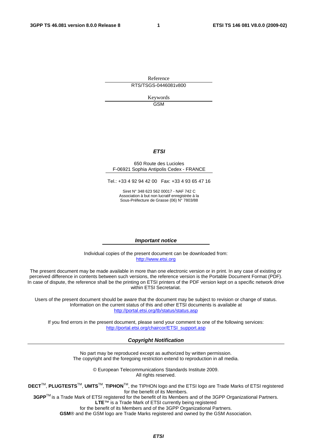Reference RTS/TSGS-0446081v800

> Keywords GSM

### *ETSI*

### 650 Route des Lucioles F-06921 Sophia Antipolis Cedex - FRANCE

Tel.: +33 4 92 94 42 00 Fax: +33 4 93 65 47 16

Siret N° 348 623 562 00017 - NAF 742 C Association à but non lucratif enregistrée à la Sous-Préfecture de Grasse (06) N° 7803/88

### *Important notice*

Individual copies of the present document can be downloaded from: [http://www.etsi.org](http://www.etsi.org/)

The present document may be made available in more than one electronic version or in print. In any case of existing or perceived difference in contents between such versions, the reference version is the Portable Document Format (PDF). In case of dispute, the reference shall be the printing on ETSI printers of the PDF version kept on a specific network drive within ETSI Secretariat.

Users of the present document should be aware that the document may be subject to revision or change of status. Information on the current status of this and other ETSI documents is available at <http://portal.etsi.org/tb/status/status.asp>

If you find errors in the present document, please send your comment to one of the following services: [http://portal.etsi.org/chaircor/ETSI\\_support.asp](http://portal.etsi.org/chaircor/ETSI_support.asp)

### *Copyright Notification*

No part may be reproduced except as authorized by written permission. The copyright and the foregoing restriction extend to reproduction in all media.

> © European Telecommunications Standards Institute 2009. All rights reserved.

**DECT**TM, **PLUGTESTS**TM, **UMTS**TM, **TIPHON**TM, the TIPHON logo and the ETSI logo are Trade Marks of ETSI registered for the benefit of its Members.

**3GPP**TM is a Trade Mark of ETSI registered for the benefit of its Members and of the 3GPP Organizational Partners. **LTE**™ is a Trade Mark of ETSI currently being registered

for the benefit of its Members and of the 3GPP Organizational Partners.

**GSM**® and the GSM logo are Trade Marks registered and owned by the GSM Association.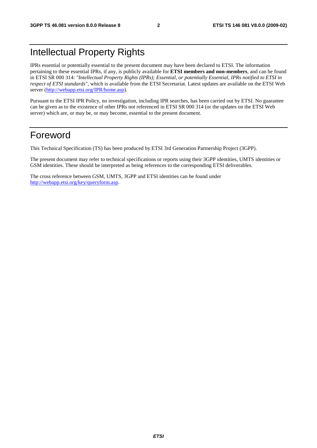# Intellectual Property Rights

IPRs essential or potentially essential to the present document may have been declared to ETSI. The information pertaining to these essential IPRs, if any, is publicly available for **ETSI members and non-members**, and can be found in ETSI SR 000 314: *"Intellectual Property Rights (IPRs); Essential, or potentially Essential, IPRs notified to ETSI in respect of ETSI standards"*, which is available from the ETSI Secretariat. Latest updates are available on the ETSI Web server ([http://webapp.etsi.org/IPR/home.asp\)](http://webapp.etsi.org/IPR/home.asp).

Pursuant to the ETSI IPR Policy, no investigation, including IPR searches, has been carried out by ETSI. No guarantee can be given as to the existence of other IPRs not referenced in ETSI SR 000 314 (or the updates on the ETSI Web server) which are, or may be, or may become, essential to the present document.

### Foreword

This Technical Specification (TS) has been produced by ETSI 3rd Generation Partnership Project (3GPP).

The present document may refer to technical specifications or reports using their 3GPP identities, UMTS identities or GSM identities. These should be interpreted as being references to the corresponding ETSI deliverables.

The cross reference between GSM, UMTS, 3GPP and ETSI identities can be found under [http://webapp.etsi.org/key/queryform.asp.](http://webapp.etsi.org/key/queryform.asp)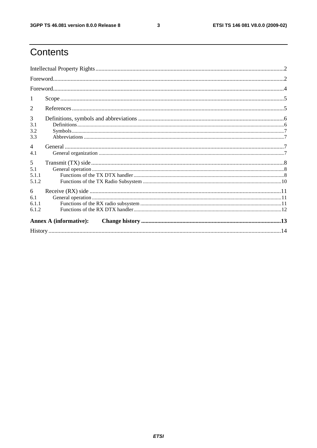$\mathbf{3}$ 

# Contents

| 1                             |  |  |  |  |
|-------------------------------|--|--|--|--|
| 2                             |  |  |  |  |
| 3<br>3.1<br>3.2<br>3.3        |  |  |  |  |
| $\overline{4}$<br>4.1         |  |  |  |  |
| 5<br>5.1<br>5.1.1<br>5.1.2    |  |  |  |  |
| 6<br>6.1<br>6.1.1<br>6.1.2    |  |  |  |  |
| <b>Annex A (informative):</b> |  |  |  |  |
|                               |  |  |  |  |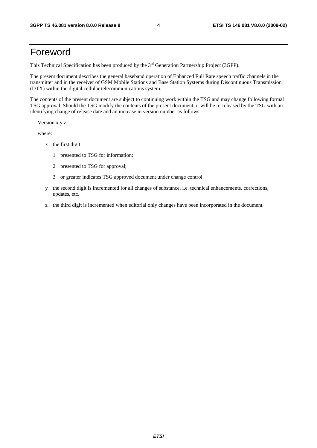### Foreword

This Technical Specification has been produced by the 3<sup>rd</sup> Generation Partnership Project (3GPP).

The present document describes the general baseband operation of Enhanced Full Rate speech traffic channels in the transmitter and in the receiver of GSM Mobile Stations and Base Station Systems during Discontinuous Transmission (DTX) within the digital cellular telecommunications system.

The contents of the present document are subject to continuing work within the TSG and may change following formal TSG approval. Should the TSG modify the contents of the present document, it will be re-released by the TSG with an identifying change of release date and an increase in version number as follows:

Version x.y.z

where:

- x the first digit:
	- 1 presented to TSG for information;
	- 2 presented to TSG for approval;
	- 3 or greater indicates TSG approved document under change control.
- y the second digit is incremented for all changes of substance, i.e. technical enhancements, corrections, updates, etc.
- z the third digit is incremented when editorial only changes have been incorporated in the document.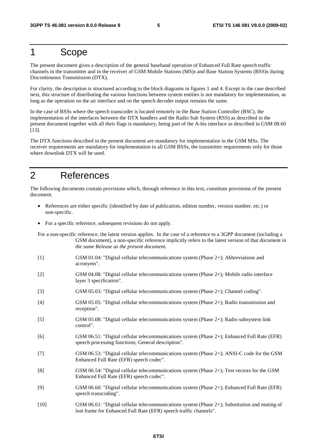### 1 Scope

The present document gives a description of the general baseband operation of Enhanced Full Rate speech traffic channels in the transmitter and in the receiver of GSM Mobile Stations (MS)s and Base Station Systems (BSS)s during Discontinuous Transmission (DTX).

For clarity, the description is structured according to the block diagrams in figures 1 and 4. Except in the case described next, this structure of distributing the various functions between system entities is not mandatory for implementation, as long as the operation on the air interface and on the speech decoder output remains the same.

In the case of BSSs where the speech transcoder is located remotely in the Base Station Controller (BSC), the implementation of the interfaces between the DTX handlers and the Radio Sub System (RSS) as described in the present document together with all their flags is mandatory, being part of the A-bis interface as described in GSM 08.60 [13].

The DTX functions described in the present document are mandatory for implementation in the GSM MSs. The receiver requirements are mandatory for implementation in all GSM BSSs, the transmitter requirements only for those where downlink DTX will be used.

### 2 References

The following documents contain provisions which, through reference in this text, constitute provisions of the present document.

- References are either specific (identified by date of publication, edition number, version number, etc.) or non-specific.
- For a specific reference, subsequent revisions do not apply.

For a non-specific reference, the latest version applies. In the case of a reference to a 3GPP document (including a GSM document), a non-specific reference implicitly refers to the latest version of that document *in the same Release as the present document*.

- [1] GSM 01.04: "Digital cellular telecommunications system (Phase 2+); Abbreviations and acronyms".
- [2] GSM 04.08: "Digital cellular telecommunications system (Phase 2+); Mobile radio interface layer 3 specification".
- [3] GSM 05.03: "Digital cellular telecommunications system (Phase 2+); Channel coding".
- [4] GSM 05.05: "Digital cellular telecommunications system (Phase 2+); Radio transmission and reception".
- [5] GSM 05.08: "Digital cellular telecommunications system (Phase 2+); Radio subsystem link control".
- [6] GSM 06.51: "Digital cellular telecommunications system (Phase 2+); Enhanced Full Rate (EFR) speech processing functions; General description".
- [7] GSM 06.53: "Digital cellular telecommunications system (Phase 2+); ANSI-C code for the GSM Enhanced Full Rate (EFR) speech codec".
- [8] GSM 06.54: "Digital cellular telecommunications system (Phase 2+); Test vectors for the GSM Enhanced Full Rate (EFR) speech codec".
- [9] GSM 06.60: "Digital cellular telecommunications system (Phase 2+); Enhanced Full Rate (EFR) speech transcoding".
- [10] GSM 06.61: "Digital cellular telecommunications system (Phase 2+); Substitution and muting of lost frame for Enhanced Full Rate (EFR) speech traffic channels".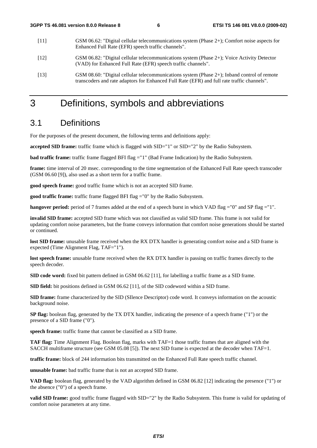| [11] | GSM 06.62: "Digital cellular telecommunications system (Phase $2+$ ); Comfort noise aspects for<br>Enhanced Full Rate (EFR) speech traffic channels".                                      |
|------|--------------------------------------------------------------------------------------------------------------------------------------------------------------------------------------------|
| [12] | GSM 06.82: "Digital cellular telecommunications system (Phase 2+); Voice Activity Detector<br>(VAD) for Enhanced Full Rate (EFR) speech traffic channels".                                 |
| [13] | GSM 08.60: "Digital cellular telecommunications system (Phase 2+); Inband control of remote<br>transcoders and rate adaptors for Enhanced Full Rate (EFR) and full rate traffic channels". |

### 3 Definitions, symbols and abbreviations

### 3.1 Definitions

For the purposes of the present document, the following terms and definitions apply:

**accepted SID frame:** traffic frame which is flagged with SID="1" or SID="2" by the Radio Subsystem.

**bad traffic frame:** traffic frame flagged BFI flag = "1" (Bad Frame Indication) by the Radio Subsystem.

**frame:** time interval of 20 msec. corresponding to the time segmentation of the Enhanced Full Rate speech transcoder (GSM 06.60 [9]), also used as a short term for a traffic frame.

**good speech frame:** good traffic frame which is not an accepted SID frame.

**good traffic frame:** traffic frame flagged BFI flag ="0" by the Radio Subsystem.

**hangover period:** period of 7 frames added at the end of a speech burst in which VAD flag ="0" and SP flag ="1".

**invalid SID frame:** accepted SID frame which was not classified as valid SID frame. This frame is not valid for updating comfort noise parameters, but the frame conveys information that comfort noise generations should be started or continued.

**lost SID frame:** unusable frame received when the RX DTX handler is generating comfort noise and a SID frame is expected (Time Alignment Flag, TAF="1").

**lost speech frame:** unusable frame received when the RX DTX handler is passing on traffic frames directly to the speech decoder.

**SID code word:** fixed bit pattern defined in GSM 06.62 [11], for labelling a traffic frame as a SID frame.

**SID field:** bit positions defined in GSM 06.62 [11], of the SID codeword within a SID frame.

**SID frame:** frame characterized by the SID (SIlence Descriptor) code word. It conveys information on the acoustic background noise.

**SP flag:** boolean flag, generated by the TX DTX handler, indicating the presence of a speech frame ("1") or the presence of a SID frame ("0").

**speech frame:** traffic frame that cannot be classified as a SID frame.

**TAF flag:** Time Alignment Flag. Boolean flag, marks with TAF=1 those traffic frames that are aligned with the SACCH multiframe structure (see GSM 05.08 [5]). The next SID frame is expected at the decoder when TAF=1.

**traffic frame:** block of 244 information bits transmitted on the Enhanced Full Rate speech traffic channel.

**unusable frame:** bad traffic frame that is not an accepted SID frame.

**VAD flag:** boolean flag, generated by the VAD algorithm defined in GSM 06.82 [12] indicating the presence ("1") or the absence ("0") of a speech frame.

**valid SID frame:** good traffic frame flagged with SID="2" by the Radio Subsystem. This frame is valid for updating of comfort noise parameters at any time.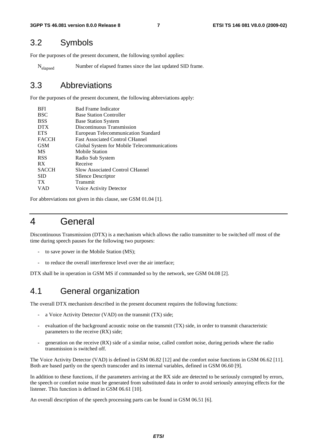### 3.2 Symbols

For the purposes of the present document, the following symbol applies:

Nelapsed Number of elapsed frames since the last updated SID frame.

### 3.3 Abbreviations

For the purposes of the present document, the following abbreviations apply:

| <b>BFI</b>      | <b>Bad Frame Indicator</b>                  |
|-----------------|---------------------------------------------|
| <b>BSC</b>      | <b>Base Station Controller</b>              |
| <b>BSS</b>      | <b>Base Station System</b>                  |
| <b>DTX</b>      | Discontinuous Transmission                  |
| <b>ETS</b>      | <b>European Telecommunication Standard</b>  |
| <b>FACCH</b>    | <b>Fast Associated Control CHannel</b>      |
| <b>GSM</b>      | Global System for Mobile Telecommunications |
| <b>MS</b>       | Mobile Station                              |
| <b>RSS</b>      | Radio Sub System                            |
| RX              | Receive                                     |
| <b>SACCH</b>    | <b>Slow Associated Control CHannel</b>      |
| <b>SID</b>      | <b>SIlence Descriptor</b>                   |
| TX <sup>-</sup> | Transmit                                    |
| VAD             | Voice Activity Detector                     |
|                 |                                             |

For abbreviations not given in this clause, see GSM 01.04 [1].

### 4 General

Discontinuous Transmission (DTX) is a mechanism which allows the radio transmitter to be switched off most of the time during speech pauses for the following two purposes:

- to save power in the Mobile Station (MS);
- to reduce the overall interference level over the air interface;

DTX shall be in operation in GSM MS if commanded so by the network, see GSM 04.08 [2].

### 4.1 General organization

The overall DTX mechanism described in the present document requires the following functions:

- a Voice Activity Detector (VAD) on the transmit (TX) side;
- evaluation of the background acoustic noise on the transmit (TX) side, in order to transmit characteristic parameters to the receive (RX) side;
- generation on the receive (RX) side of a similar noise, called comfort noise, during periods where the radio transmission is switched off.

The Voice Activity Detector (VAD) is defined in GSM 06.82 [12] and the comfort noise functions in GSM 06.62 [11]. Both are based partly on the speech transcoder and its internal variables, defined in GSM 06.60 [9].

In addition to these functions, if the parameters arriving at the RX side are detected to be seriously corrupted by errors, the speech or comfort noise must be generated from substituted data in order to avoid seriously annoying effects for the listener. This function is defined in GSM 06.61 [10].

An overall description of the speech processing parts can be found in GSM 06.51 [6].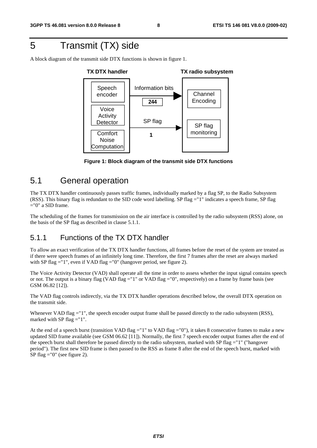# 5 Transmit (TX) side

A block diagram of the transmit side DTX functions is shown in figure 1.



**Figure 1: Block diagram of the transmit side DTX functions** 

### 5.1 General operation

The TX DTX handler continuously passes traffic frames, individually marked by a flag SP, to the Radio Subsystem (RSS). This binary flag is redundant to the SID code word labelling. SP flag ="1" indicates a speech frame, SP flag  $=$ "0" a SID frame.

The scheduling of the frames for transmission on the air interface is controlled by the radio subsystem (RSS) alone, on the basis of the SP flag as described in clause 5.1.1.

### 5.1.1 Functions of the TX DTX handler

To allow an exact verification of the TX DTX handler functions, all frames before the reset of the system are treated as if there were speech frames of an infinitely long time. Therefore, the first 7 frames after the reset are always marked with SP flag ="1", even if VAD flag ="0" (hangover period, see figure 2).

The Voice Activity Detector (VAD) shall operate all the time in order to assess whether the input signal contains speech or not. The output is a binary flag (VAD flag ="1" or VAD flag ="0", respectively) on a frame by frame basis (see GSM 06.82 [12]).

The VAD flag controls indirectly, via the TX DTX handler operations described below, the overall DTX operation on the transmit side.

Whenever VAD flag = "1", the speech encoder output frame shall be passed directly to the radio subsystem (RSS), marked with SP flag  $=$ "1".

At the end of a speech burst (transition VAD flag ="1" to VAD flag ="0"), it takes 8 consecutive frames to make a new updated SID frame available (see GSM 06.62 [11]). Normally, the first 7 speech encoder output frames after the end of the speech burst shall therefore be passed directly to the radio subsystem, marked with SP flag ="1" ("hangover period"). The first new SID frame is then passed to the RSS as frame 8 after the end of the speech burst, marked with SP flag ="0" (see figure 2).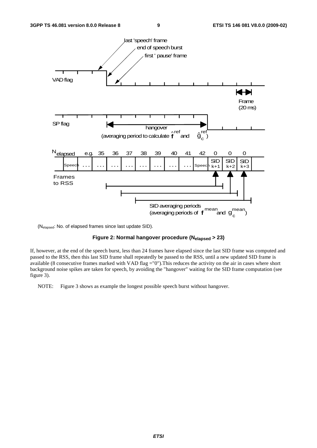

(Nelapsed: No. of elapsed frames since last update SID).

### **Figure 2: Normal hangover procedure (Nelapsed > 23)**

If, however, at the end of the speech burst, less than 24 frames have elapsed since the last SID frame was computed and passed to the RSS, then this last SID frame shall repeatedly be passed to the RSS, until a new updated SID frame is available (8 consecutive frames marked with VAD flag ="0").This reduces the activity on the air in cases where short background noise spikes are taken for speech, by avoiding the "hangover" waiting for the SID frame computation (see figure 3).

NOTE: Figure 3 shows as example the longest possible speech burst without hangover.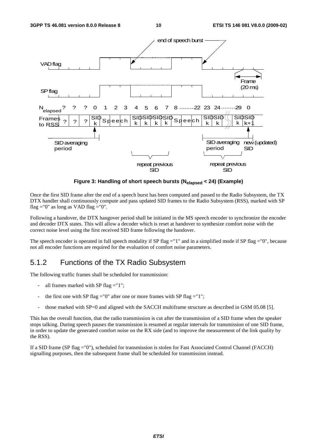

**Figure 3: Handling of short speech bursts (Nelapsed < 24) (Example)** 

Once the first SID frame after the end of a speech burst has been computed and passed to the Radio Subsystem, the TX DTX handler shall continuously compute and pass updated SID frames to the Radio Subsystem (RSS), marked with SP flag  $=$ "0" as long as VAD flag  $=$ "0".

Following a handover, the DTX hangover period shall be initiated in the MS speech encoder to synchronize the encoder and decoder DTX states. This will allow a decoder which is reset at handover to synthesize comfort noise with the correct noise level using the first received SID frame following the handover.

The speech encoder is operated in full speech modality if SP flag ="1" and in a simplified mode if SP flag ="0", because not all encoder functions are required for the evaluation of comfort noise parameters.

### 5.1.2 Functions of the TX Radio Subsystem

The following traffic frames shall be scheduled for transmission:

- all frames marked with SP flag  $=$ "1";
- the first one with SP flag ="0" after one or more frames with SP flag ="1";
- those marked with SP=0 and aligned with the SACCH multiframe structure as described in GSM 05.08 [5].

This has the overall function, that the radio transmission is cut after the transmission of a SID frame when the speaker stops talking. During speech pauses the transmission is resumed at regular intervals for transmission of one SID frame, in order to update the generated comfort noise on the RX side (and to improve the measurement of the link quality by the RSS).

If a SID frame (SP flag ="0"), scheduled for transmission is stolen for Fast Associated Control Channel (FACCH) signalling purposes, then the subsequent frame shall be scheduled for transmission instead.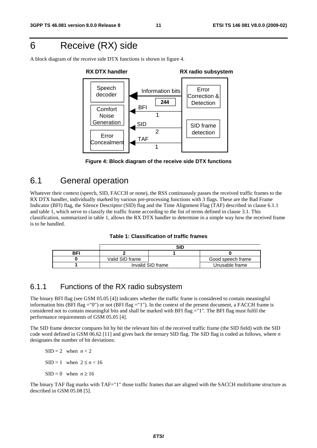# 6 Receive (RX) side

A block diagram of the receive side DTX functions is shown in figure 4.





### 6.1 General operation

Whatever their context (speech, SID, FACCH or none), the RSS continuously passes the received traffic frames to the RX DTX handler, individually marked by various pre-processing functions with 3 flags. These are the Bad Frame Indicator (BFI) flag, the Silence Descriptor (SID) flag and the Time Alignment Flag (TAF) described in clause 6.1.1 and table 1, which serve to classify the traffic frame according to the list of terms defined in clause 3.1. This classification, summarized in table 1, allows the RX DTX handler to determine in a simple way how the received frame is to be handled.

| Table 1: Classification of traffic frames |  |
|-------------------------------------------|--|
|-------------------------------------------|--|

|     | SID               |                |                   |  |  |  |
|-----|-------------------|----------------|-------------------|--|--|--|
| BFI |                   |                |                   |  |  |  |
|     | Valid SID frame   |                | Good speech frame |  |  |  |
|     | Invalid SID frame | Unusable frame |                   |  |  |  |

### 6.1.1 Functions of the RX radio subsystem

The binary BFI flag (see GSM 05.05 [4]) indicates whether the traffic frame is considered to contain meaningful information bits (BFI flag ="0") or not (BFI flag ="1"). In the context of the present document, a FACCH frame is considered not to contain meaningful bits and shall be marked with BFI flag ="1". The BFI flag must fulfil the performance requirements of GSM 05.05 [4].

The SID frame detector compares bit by bit the relevant bits of the received traffic frame (the SID field) with the SID code word defined in GSM 06.62 [11] and gives back the ternary SID flag. The SID flag is coded as follows, where *n* designates the number of bit deviations:

- $SID = 2$  when  $n < 2$
- $SID = 1$  when  $2 \le n < 16$
- $SID = 0$  when  $n \ge 16$

The binary TAF flag marks with TAF="1" those traffic frames that are aligned with the SACCH multiframe structure as described in GSM 05.08 [5].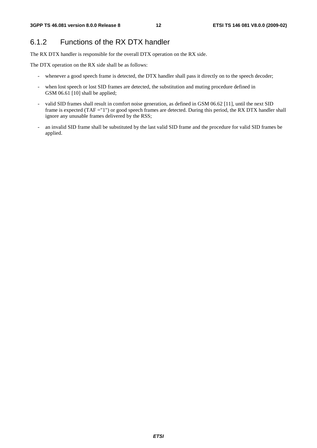### 6.1.2 Functions of the RX DTX handler

The RX DTX handler is responsible for the overall DTX operation on the RX side.

The DTX operation on the RX side shall be as follows:

- whenever a good speech frame is detected, the DTX handler shall pass it directly on to the speech decoder;
- when lost speech or lost SID frames are detected, the substitution and muting procedure defined in GSM 06.61 [10] shall be applied;
- valid SID frames shall result in comfort noise generation, as defined in GSM 06.62 [11], until the next SID frame is expected (TAF = "1") or good speech frames are detected. During this period, the RX DTX handler shall ignore any unusable frames delivered by the RSS;
- an invalid SID frame shall be substituted by the last valid SID frame and the procedure for valid SID frames be applied.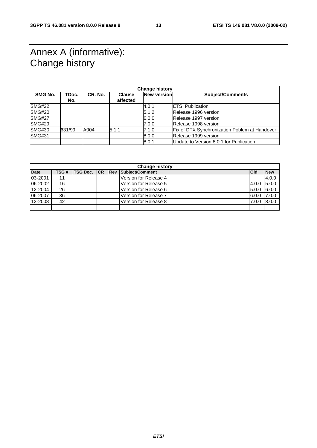# Annex A (informative): Change history

| <b>Change history</b> |              |         |                           |             |                                               |
|-----------------------|--------------|---------|---------------------------|-------------|-----------------------------------------------|
| SMG No.               | TDoc.<br>No. | CR. No. | <b>Clause</b><br>affected | New version | <b>Subject/Comments</b>                       |
| <b>SMG#22</b>         |              |         |                           | 4.0.1       | <b>ETSI Publication</b>                       |
| <b>SMG#20</b>         |              |         |                           | 5.1.2       | Release 1996 version                          |
| <b>SMG#27</b>         |              |         |                           | 6.0.0       | Release 1997 version                          |
| <b>SMG#29</b>         |              |         |                           | 7.0.0       | Release 1998 version                          |
| <b>SMG#30</b>         | 631/99       | A004    | 5.1.1                     | 7.1.0       | Fix of DTX Synchronization Poblem at Handover |
| <b>SMG#31</b>         |              |         |                           | 8.0.0       | Release 1999 version                          |
|                       |              |         |                           | 8.0.1       | Update to Version 8.0.1 for Publication       |

| <b>Change history</b> |      |                     |  |             |                       |            |            |
|-----------------------|------|---------------------|--|-------------|-----------------------|------------|------------|
| <b>Date</b>           | TSG# | <b>TSG Doc. ICR</b> |  | <b>IRev</b> | Subject/Comment       | <b>Old</b> | <b>New</b> |
| 03-2001               | 11   |                     |  |             | Version for Release 4 |            | 4.0.0      |
| 06-2002               | 16   |                     |  |             | Version for Release 5 | 4.0.0      | 5.0.0      |
| 12-2004               | 26   |                     |  |             | Version for Release 6 | 5.0.0      | 6.0.0      |
| 06-2007               | 36   |                     |  |             | Version for Release 7 | 6.0.0      | 7.0.0      |
| 12-2008               | 42   |                     |  |             | Version for Release 8 | 7.0.0      | 8.0.0      |
|                       |      |                     |  |             |                       |            |            |